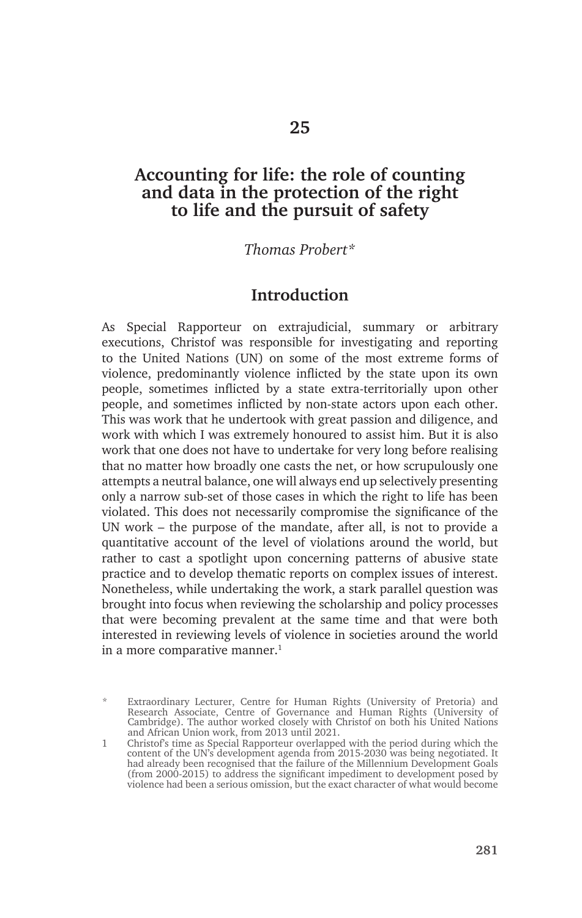# **Accounting for life: the role of counting and data in the protection of the right to life and the pursuit of safety**

#### *Thomas Probert\**

### **Introduction**

As Special Rapporteur on extrajudicial, summary or arbitrary executions, Christof was responsible for investigating and reporting to the United Nations (UN) on some of the most extreme forms of violence, predominantly violence inflicted by the state upon its own people, sometimes inflicted by a state extra-territorially upon other people, and sometimes inflicted by non-state actors upon each other. This was work that he undertook with great passion and diligence, and work with which I was extremely honoured to assist him. But it is also work that one does not have to undertake for very long before realising that no matter how broadly one casts the net, or how scrupulously one attempts a neutral balance, one will always end up selectively presenting only a narrow sub-set of those cases in which the right to life has been violated. This does not necessarily compromise the significance of the UN work – the purpose of the mandate, after all, is not to provide a quantitative account of the level of violations around the world, but rather to cast a spotlight upon concerning patterns of abusive state practice and to develop thematic reports on complex issues of interest. Nonetheless, while undertaking the work, a stark parallel question was brought into focus when reviewing the scholarship and policy processes that were becoming prevalent at the same time and that were both interested in reviewing levels of violence in societies around the world in a more comparative manner. $1$ 

<sup>\*</sup> Extraordinary Lecturer, Centre for Human Rights (University of Pretoria) and Research Associate, Centre of Governance and Human Rights (University of Cambridge). The author worked closely with Christof on both his United Nations and African Union work, from 2013 until 2021.

<sup>1</sup> Christof's time as Special Rapporteur overlapped with the period during which the content of the UN's development agenda from 2015-2030 was being negotiated. It had already been recognised that the failure of the Millennium Development Goals (from 2000-2015) to address the significant impediment to development posed by violence had been a serious omission, but the exact character of what would become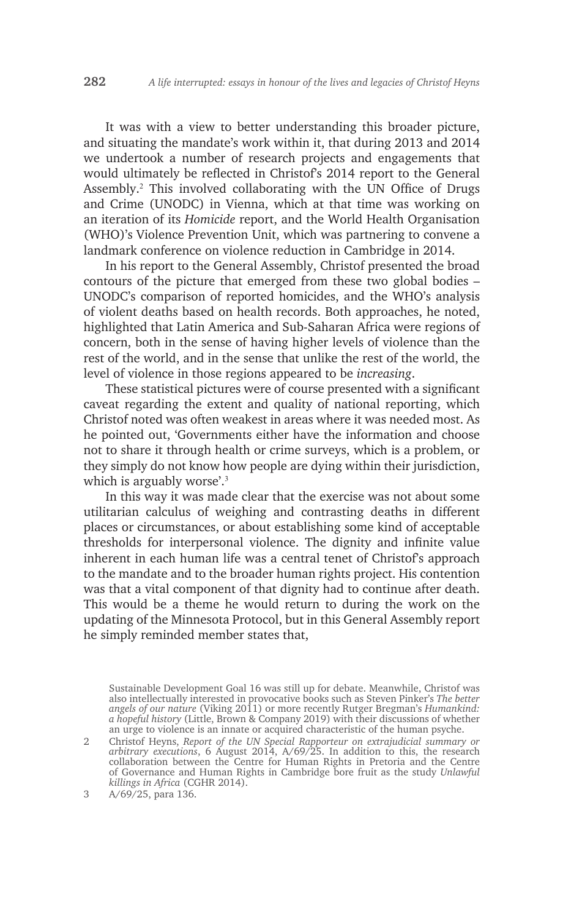It was with a view to better understanding this broader picture, and situating the mandate's work within it, that during 2013 and 2014 we undertook a number of research projects and engagements that would ultimately be reflected in Christof's 2014 report to the General Assembly.<sup>2</sup> This involved collaborating with the UN Office of Drugs and Crime (UNODC) in Vienna, which at that time was working on an iteration of its *Homicide* report, and the World Health Organisation (WHO)'s Violence Prevention Unit, which was partnering to convene a landmark conference on violence reduction in Cambridge in 2014.

In his report to the General Assembly, Christof presented the broad contours of the picture that emerged from these two global bodies – UNODC's comparison of reported homicides, and the WHO's analysis of violent deaths based on health records. Both approaches, he noted, highlighted that Latin America and Sub-Saharan Africa were regions of concern, both in the sense of having higher levels of violence than the rest of the world, and in the sense that unlike the rest of the world, the level of violence in those regions appeared to be *increasing*.

These statistical pictures were of course presented with a significant caveat regarding the extent and quality of national reporting, which Christof noted was often weakest in areas where it was needed most. As he pointed out, 'Governments either have the information and choose not to share it through health or crime surveys, which is a problem, or they simply do not know how people are dying within their jurisdiction, which is arguably worse'.<sup>3</sup>

In this way it was made clear that the exercise was not about some utilitarian calculus of weighing and contrasting deaths in different places or circumstances, or about establishing some kind of acceptable thresholds for interpersonal violence. The dignity and infinite value inherent in each human life was a central tenet of Christof's approach to the mandate and to the broader human rights project. His contention was that a vital component of that dignity had to continue after death. This would be a theme he would return to during the work on the updating of the Minnesota Protocol, but in this General Assembly report he simply reminded member states that,

Sustainable Development Goal 16 was still up for debate. Meanwhile, Christof was also intellectually interested in provocative books such as Steven Pinker's *The better angels of our nature* (Viking 2011) or more recently Rutger Bregman's *Humankind: a hopeful history* (Little, Brown & Company 2019) with their discussions of whether an urge to violence is an innate or acquired characteristic of the human psyche.

<sup>2</sup> Christof Heyns, *Report of the UN Special Rapporteur on extrajudicial summary or arbitrary executions*, 6 August 2014, A/69/25. In addition to this, the research collaboration between the Centre for Human Rights in Pretoria and the Centre of Governance and Human Rights in Cambridge bore fruit as the study *Unlawful killings in Africa* (CGHR 2014).

<sup>3</sup> A/69/25, para 136.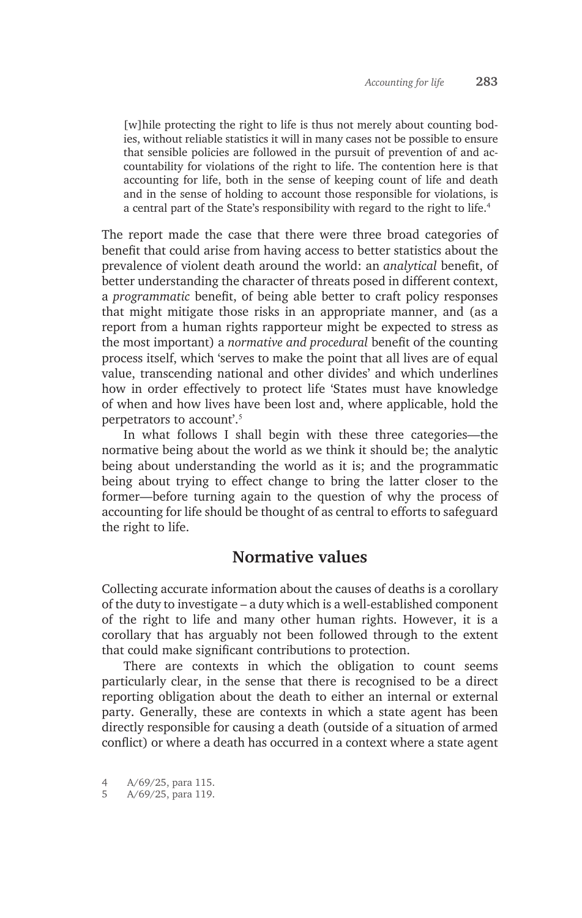[w] hile protecting the right to life is thus not merely about counting bodies, without reliable statistics it will in many cases not be possible to ensure that sensible policies are followed in the pursuit of prevention of and accountability for violations of the right to life. The contention here is that accounting for life, both in the sense of keeping count of life and death and in the sense of holding to account those responsible for violations, is a central part of the State's responsibility with regard to the right to life.4

The report made the case that there were three broad categories of benefit that could arise from having access to better statistics about the prevalence of violent death around the world: an *analytical* benefit, of better understanding the character of threats posed in different context, a *programmatic* benefit, of being able better to craft policy responses that might mitigate those risks in an appropriate manner, and (as a report from a human rights rapporteur might be expected to stress as the most important) a *normative and procedural* benefit of the counting process itself, which 'serves to make the point that all lives are of equal value, transcending national and other divides' and which underlines how in order effectively to protect life 'States must have knowledge of when and how lives have been lost and, where applicable, hold the perpetrators to account'.<sup>5</sup>

In what follows I shall begin with these three categories—the normative being about the world as we think it should be; the analytic being about understanding the world as it is; and the programmatic being about trying to effect change to bring the latter closer to the former—before turning again to the question of why the process of accounting for life should be thought of as central to efforts to safeguard the right to life.

#### **Normative values**

Collecting accurate information about the causes of deaths is a corollary of the duty to investigate – a duty which is a well-established component of the right to life and many other human rights. However, it is a corollary that has arguably not been followed through to the extent that could make significant contributions to protection.

There are contexts in which the obligation to count seems particularly clear, in the sense that there is recognised to be a direct reporting obligation about the death to either an internal or external party. Generally, these are contexts in which a state agent has been directly responsible for causing a death (outside of a situation of armed conflict) or where a death has occurred in a context where a state agent

<sup>4</sup> A/69/25, para 115.

<sup>5</sup> A/69/25, para 119.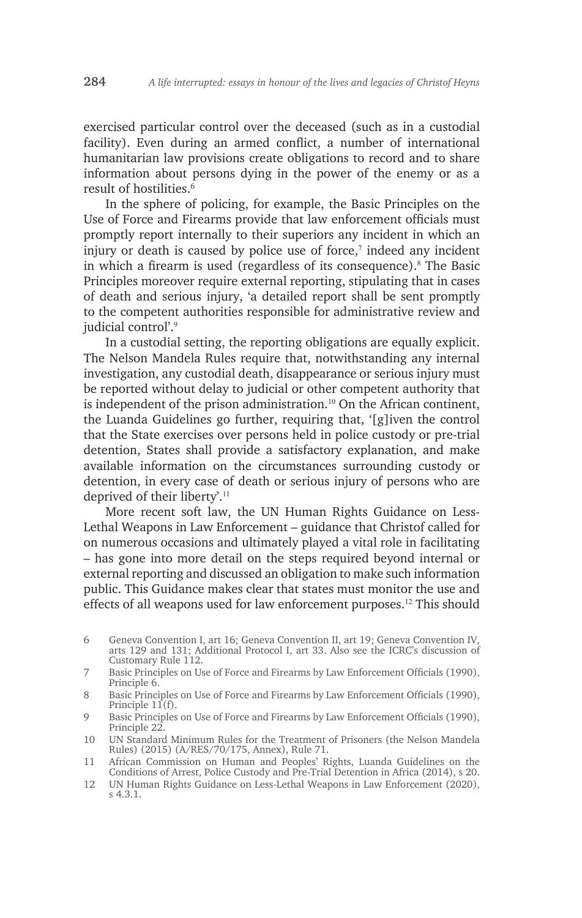exercised particular control over the deceased (such as in a custodial facility). Even during an armed conflict, a number of international humanitarian law provisions create obligations to record and to share information about persons dying in the power of the enemy or as a result of hostilities.<sup>6</sup>

In the sphere of policing, for example, the Basic Principles on the Use of Force and Firearms provide that law enforcement officials must promptly report internally to their superiors any incident in which an injury or death is caused by police use of force,<sup>7</sup> indeed any incident in which a firearm is used (regardless of its consequence).<sup>8</sup> The Basic Principles moreover require external reporting, stipulating that in cases of death and serious injury, 'a detailed report shall be sent promptly to the competent authorities responsible for administrative review and judicial control'.<sup>9</sup>

In a custodial setting, the reporting obligations are equally explicit. The Nelson Mandela Rules require that, notwithstanding any internal investigation, any custodial death, disappearance or serious injury must be reported without delay to judicial or other competent authority that is independent of the prison administration.<sup>10</sup> On the African continent, the Luanda Guidelines go further, requiring that, '[g]iven the control that the State exercises over persons held in police custody or pre-trial detention, States shall provide a satisfactory explanation, and make available information on the circumstances surrounding custody or detention, in every case of death or serious injury of persons who are deprived of their liberty'.<sup>11</sup>

More recent soft law, the UN Human Rights Guidance on Less-Lethal Weapons in Law Enforcement – guidance that Christof called for on numerous occasions and ultimately played a vital role in facilitating – has gone into more detail on the steps required beyond internal or external reporting and discussed an obligation to make such information public. This Guidance makes clear that states must monitor the use and effects of all weapons used for law enforcement purposes.<sup>12</sup> This should

<sup>6</sup> Geneva Convention I, art 16; Geneva Convention II, art 19; Geneva Convention IV, arts 129 and 131; Additional Protocol I, art 33. Also see the ICRC's discussion of Customary Rule 112.

<sup>7</sup> Basic Principles on Use of Force and Firearms by Law Enforcement Officials (1990), Principle 6.

<sup>8</sup> Basic Principles on Use of Force and Firearms by Law Enforcement Officials (1990), Principle 11(f).

<sup>9</sup> Basic Principles on Use of Force and Firearms by Law Enforcement Officials (1990), Principle 22.

<sup>10</sup> UN Standard Minimum Rules for the Treatment of Prisoners (the Nelson Mandela Rules) (2015) (A/RES/70/175, Annex), Rule 71.

<sup>11</sup> African Commission on Human and Peoples' Rights, Luanda Guidelines on the Conditions of Arrest, Police Custody and Pre-Trial Detention in Africa (2014), s 20.

<sup>12</sup> UN Human Rights Guidance on Less-Lethal Weapons in Law Enforcement (2020), s 4.3.1.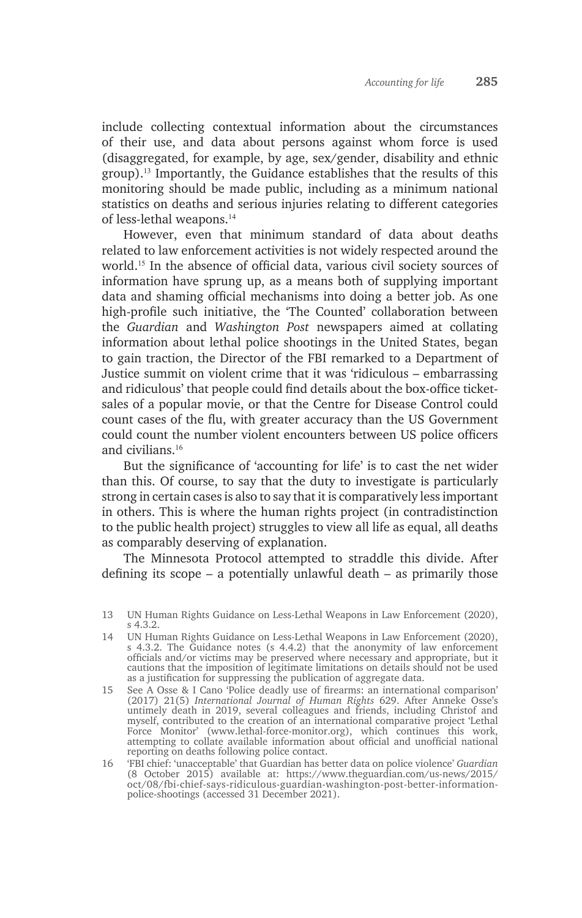include collecting contextual information about the circumstances of their use, and data about persons against whom force is used (disaggregated, for example, by age, sex/gender, disability and ethnic group).13 Importantly, the Guidance establishes that the results of this monitoring should be made public, including as a minimum national statistics on deaths and serious injuries relating to different categories of less-lethal weapons.<sup>14</sup>

However, even that minimum standard of data about deaths related to law enforcement activities is not widely respected around the world.15 In the absence of official data, various civil society sources of information have sprung up, as a means both of supplying important data and shaming official mechanisms into doing a better job. As one high-profile such initiative, the 'The Counted' collaboration between the *Guardian* and *Washington Post* newspapers aimed at collating information about lethal police shootings in the United States, began to gain traction, the Director of the FBI remarked to a Department of Justice summit on violent crime that it was 'ridiculous – embarrassing and ridiculous' that people could find details about the box-office ticketsales of a popular movie, or that the Centre for Disease Control could count cases of the flu, with greater accuracy than the US Government could count the number violent encounters between US police officers and civilians<sup>16</sup>

But the significance of 'accounting for life' is to cast the net wider than this. Of course, to say that the duty to investigate is particularly strong in certain cases is also to say that it is comparatively less important in others. This is where the human rights project (in contradistinction to the public health project) struggles to view all life as equal, all deaths as comparably deserving of explanation.

The Minnesota Protocol attempted to straddle this divide. After defining its scope – a potentially unlawful death – as primarily those

<sup>13</sup> UN Human Rights Guidance on Less-Lethal Weapons in Law Enforcement (2020), s 4.3.2.

<sup>14</sup> UN Human Rights Guidance on Less-Lethal Weapons in Law Enforcement (2020), s 4.3.2. The Guidance notes (s 4.4.2) that the anonymity of law enforcement officials and/or victims may be preserved where necessary and appropriate, but it cautions that the imposition of legitimate limitations on details should not be used as a justification for suppressing the publication of aggregate data.

<sup>15</sup> See A Osse & I Cano 'Police deadly use of firearms: an international comparison' (2017) 21(5) *International Journal of Human Rights* 629. After Anneke Osse's untimely death in 2019, several colleagues and friends, including Christof and myself, contributed to the creation of an international comparative project 'Lethal Force Monitor' (www.lethal-force-monitor.org), which continues this work, attempting to collate available information about official and unofficial national reporting on deaths following police contact.

<sup>16</sup> 'FBI chief: 'unacceptable' that Guardian has better data on police violence' *Guardian* (8 October 2015) available at: https://www.theguardian.com/us-news/2015/ oct/08/fbi-chief-says-ridiculous-guardian-washington-post-better-informationpolice-shootings (accessed 31 December 2021).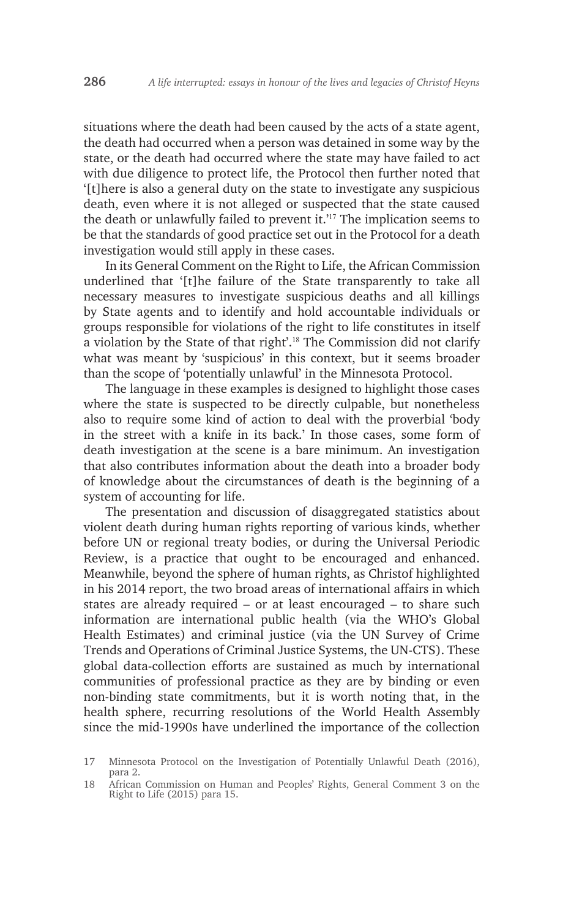situations where the death had been caused by the acts of a state agent, the death had occurred when a person was detained in some way by the state, or the death had occurred where the state may have failed to act with due diligence to protect life, the Protocol then further noted that '[t]here is also a general duty on the state to investigate any suspicious death, even where it is not alleged or suspected that the state caused the death or unlawfully failed to prevent it.'17 The implication seems to be that the standards of good practice set out in the Protocol for a death investigation would still apply in these cases.

In its General Comment on the Right to Life, the African Commission underlined that '[t]he failure of the State transparently to take all necessary measures to investigate suspicious deaths and all killings by State agents and to identify and hold accountable individuals or groups responsible for violations of the right to life constitutes in itself a violation by the State of that right'.<sup>18</sup> The Commission did not clarify what was meant by 'suspicious' in this context, but it seems broader than the scope of 'potentially unlawful' in the Minnesota Protocol.

The language in these examples is designed to highlight those cases where the state is suspected to be directly culpable, but nonetheless also to require some kind of action to deal with the proverbial 'body in the street with a knife in its back.' In those cases, some form of death investigation at the scene is a bare minimum. An investigation that also contributes information about the death into a broader body of knowledge about the circumstances of death is the beginning of a system of accounting for life.

The presentation and discussion of disaggregated statistics about violent death during human rights reporting of various kinds, whether before UN or regional treaty bodies, or during the Universal Periodic Review, is a practice that ought to be encouraged and enhanced. Meanwhile, beyond the sphere of human rights, as Christof highlighted in his 2014 report, the two broad areas of international affairs in which states are already required – or at least encouraged – to share such information are international public health (via the WHO's Global Health Estimates) and criminal justice (via the UN Survey of Crime Trends and Operations of Criminal Justice Systems, the UN-CTS). These global data-collection efforts are sustained as much by international communities of professional practice as they are by binding or even non-binding state commitments, but it is worth noting that, in the health sphere, recurring resolutions of the World Health Assembly since the mid-1990s have underlined the importance of the collection

<sup>17</sup> Minnesota Protocol on the Investigation of Potentially Unlawful Death (2016), para 2.

<sup>18</sup> African Commission on Human and Peoples' Rights, General Comment 3 on the Right to Life (2015) para 15.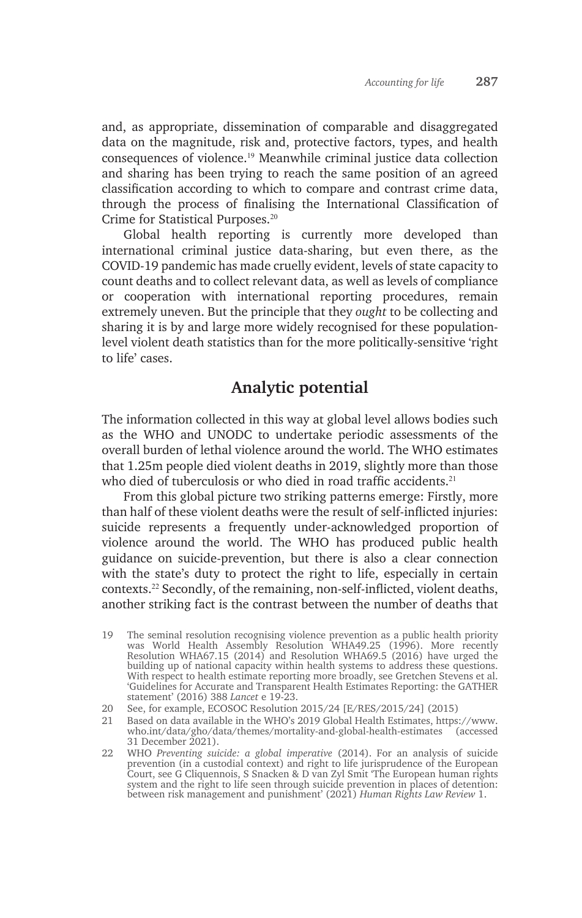and, as appropriate, dissemination of comparable and disaggregated data on the magnitude, risk and, protective factors, types, and health consequences of violence.19 Meanwhile criminal justice data collection and sharing has been trying to reach the same position of an agreed classification according to which to compare and contrast crime data, through the process of finalising the International Classification of Crime for Statistical Purposes.<sup>20</sup>

Global health reporting is currently more developed than international criminal justice data-sharing, but even there, as the COVID-19 pandemic has made cruelly evident, levels of state capacity to count deaths and to collect relevant data, as well as levels of compliance or cooperation with international reporting procedures, remain extremely uneven. But the principle that they *ought* to be collecting and sharing it is by and large more widely recognised for these populationlevel violent death statistics than for the more politically-sensitive 'right to life' cases.

# **Analytic potential**

The information collected in this way at global level allows bodies such as the WHO and UNODC to undertake periodic assessments of the overall burden of lethal violence around the world. The WHO estimates that 1.25m people died violent deaths in 2019, slightly more than those who died of tuberculosis or who died in road traffic accidents.<sup>21</sup>

From this global picture two striking patterns emerge: Firstly, more than half of these violent deaths were the result of self-inflicted injuries: suicide represents a frequently under-acknowledged proportion of violence around the world. The WHO has produced public health guidance on suicide-prevention, but there is also a clear connection with the state's duty to protect the right to life, especially in certain contexts.22 Secondly, of the remaining, non-self-inflicted, violent deaths, another striking fact is the contrast between the number of deaths that

<sup>19</sup> The seminal resolution recognising violence prevention as a public health priority was World Health Assembly Resolution WHA49.25 (1996). More recently Resolution WHA67.15 (2014) and Resolution WHA69.5 (2016) have urged the building up of national capacity within health systems to address these questions. With respect to health estimate reporting more broadly, see Gretchen Stevens et al. 'Guidelines for Accurate and Transparent Health Estimates Reporting: the GATHER statement' (2016) 388 *Lancet* e 19-23.

<sup>20</sup> See, for example, ECOSOC Resolution 2015/24 [E/RES/2015/24] (2015)

<sup>21</sup> Based on data available in the WHO's 2019 Global Health Estimates, https://www. who.int/data/gho/data/themes/mortality-and-global-health-estimates 31 December 2021).

<sup>22</sup> WHO *Preventing suicide: a global imperative* (2014). For an analysis of suicide prevention (in a custodial context) and right to life jurisprudence of the European Court, see G Cliquennois, S Snacken & D van Zyl Smit 'The European human rights system and the right to life seen through suicide prevention in places of detention: between risk management and punishment' (2021) *Human Rights Law Review* 1.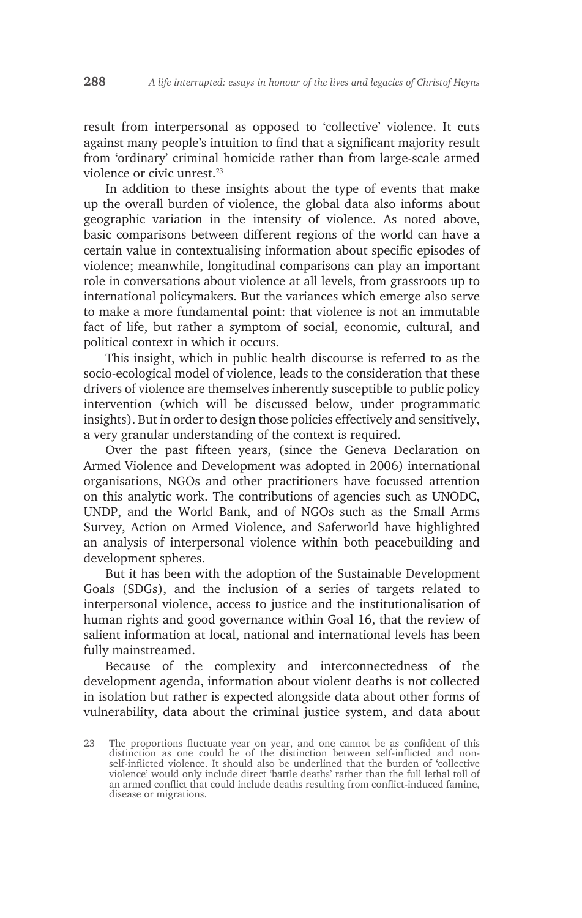result from interpersonal as opposed to 'collective' violence. It cuts against many people's intuition to find that a significant majority result from 'ordinary' criminal homicide rather than from large-scale armed violence or civic unrest.<sup>23</sup>

In addition to these insights about the type of events that make up the overall burden of violence, the global data also informs about geographic variation in the intensity of violence. As noted above, basic comparisons between different regions of the world can have a certain value in contextualising information about specific episodes of violence; meanwhile, longitudinal comparisons can play an important role in conversations about violence at all levels, from grassroots up to international policymakers. But the variances which emerge also serve to make a more fundamental point: that violence is not an immutable fact of life, but rather a symptom of social, economic, cultural, and political context in which it occurs.

This insight, which in public health discourse is referred to as the socio-ecological model of violence, leads to the consideration that these drivers of violence are themselves inherently susceptible to public policy intervention (which will be discussed below, under programmatic insights). But in order to design those policies effectively and sensitively, a very granular understanding of the context is required.

Over the past fifteen years, (since the Geneva Declaration on Armed Violence and Development was adopted in 2006) international organisations, NGOs and other practitioners have focussed attention on this analytic work. The contributions of agencies such as UNODC, UNDP, and the World Bank, and of NGOs such as the Small Arms Survey, Action on Armed Violence, and Saferworld have highlighted an analysis of interpersonal violence within both peacebuilding and development spheres.

But it has been with the adoption of the Sustainable Development Goals (SDGs), and the inclusion of a series of targets related to interpersonal violence, access to justice and the institutionalisation of human rights and good governance within Goal 16, that the review of salient information at local, national and international levels has been fully mainstreamed.

Because of the complexity and interconnectedness of the development agenda, information about violent deaths is not collected in isolation but rather is expected alongside data about other forms of vulnerability, data about the criminal justice system, and data about

<sup>23</sup> The proportions fluctuate year on year, and one cannot be as confident of this distinction as one could be of the distinction between self-inflicted and nonself-inflicted violence. It should also be underlined that the burden of 'collective violence' would only include direct 'battle deaths' rather than the full lethal toll of an armed conflict that could include deaths resulting from conflict-induced famine, disease or migrations.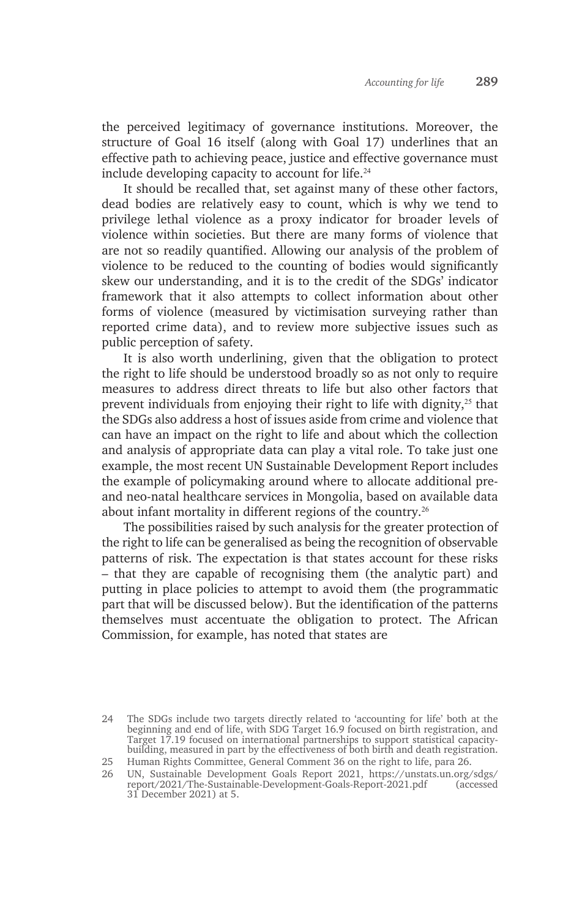the perceived legitimacy of governance institutions. Moreover, the structure of Goal 16 itself (along with Goal 17) underlines that an effective path to achieving peace, justice and effective governance must include developing capacity to account for life.<sup>24</sup>

It should be recalled that, set against many of these other factors, dead bodies are relatively easy to count, which is why we tend to privilege lethal violence as a proxy indicator for broader levels of violence within societies. But there are many forms of violence that are not so readily quantified. Allowing our analysis of the problem of violence to be reduced to the counting of bodies would significantly skew our understanding, and it is to the credit of the SDGs' indicator framework that it also attempts to collect information about other forms of violence (measured by victimisation surveying rather than reported crime data), and to review more subjective issues such as public perception of safety.

It is also worth underlining, given that the obligation to protect the right to life should be understood broadly so as not only to require measures to address direct threats to life but also other factors that prevent individuals from enjoying their right to life with dignity,25 that the SDGs also address a host of issues aside from crime and violence that can have an impact on the right to life and about which the collection and analysis of appropriate data can play a vital role. To take just one example, the most recent UN Sustainable Development Report includes the example of policymaking around where to allocate additional preand neo-natal healthcare services in Mongolia, based on available data about infant mortality in different regions of the country.<sup>26</sup>

The possibilities raised by such analysis for the greater protection of the right to life can be generalised as being the recognition of observable patterns of risk. The expectation is that states account for these risks – that they are capable of recognising them (the analytic part) and putting in place policies to attempt to avoid them (the programmatic part that will be discussed below). But the identification of the patterns themselves must accentuate the obligation to protect. The African Commission, for example, has noted that states are

<sup>24</sup> The SDGs include two targets directly related to 'accounting for life' both at the beginning and end of life, with SDG Target 16.9 focused on birth registration, and Target 17.19 focused on international partnerships to support statistical capacitybuilding, measured in part by the effectiveness of both birth and death registration. 25 Human Rights Committee, General Comment 36 on the right to life, para 26.

<sup>26</sup> UN, Sustainable Development Goals Report 2021, https://unstats.un.org/sdgs/ report/2021/The-Sustainable-Development-Goals-Report-2021.pdf (accessed 31 December 2021) at 5.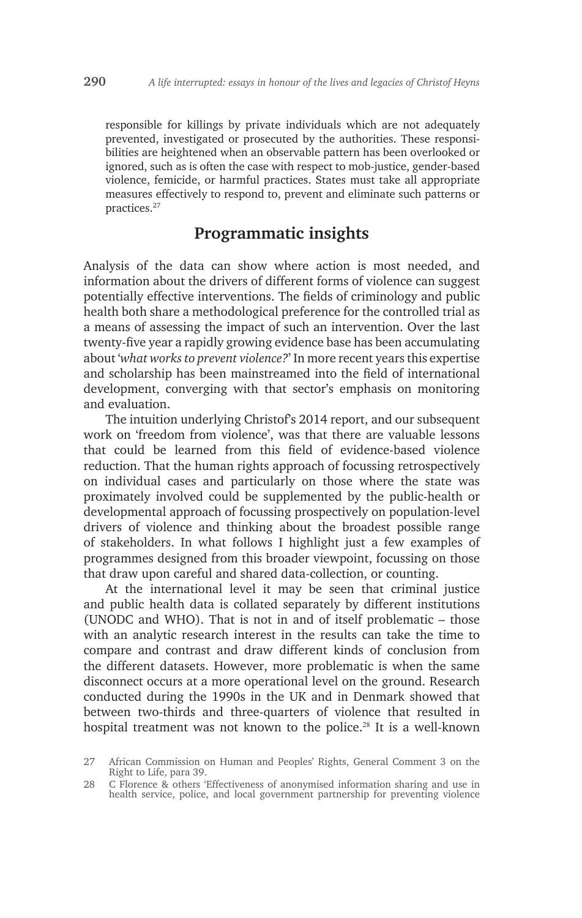responsible for killings by private individuals which are not adequately prevented, investigated or prosecuted by the authorities. These responsibilities are heightened when an observable pattern has been overlooked or ignored, such as is often the case with respect to mob-justice, gender-based violence, femicide, or harmful practices. States must take all appropriate measures effectively to respond to, prevent and eliminate such patterns or practices.<sup>27</sup>

## **Programmatic insights**

Analysis of the data can show where action is most needed, and information about the drivers of different forms of violence can suggest potentially effective interventions. The fields of criminology and public health both share a methodological preference for the controlled trial as a means of assessing the impact of such an intervention. Over the last twenty-five year a rapidly growing evidence base has been accumulating about '*what works to prevent violence?*' In more recent years this expertise and scholarship has been mainstreamed into the field of international development, converging with that sector's emphasis on monitoring and evaluation.

The intuition underlying Christof's 2014 report, and our subsequent work on 'freedom from violence', was that there are valuable lessons that could be learned from this field of evidence-based violence reduction. That the human rights approach of focussing retrospectively on individual cases and particularly on those where the state was proximately involved could be supplemented by the public-health or developmental approach of focussing prospectively on population-level drivers of violence and thinking about the broadest possible range of stakeholders. In what follows I highlight just a few examples of programmes designed from this broader viewpoint, focussing on those that draw upon careful and shared data-collection, or counting.

At the international level it may be seen that criminal justice and public health data is collated separately by different institutions (UNODC and WHO). That is not in and of itself problematic – those with an analytic research interest in the results can take the time to compare and contrast and draw different kinds of conclusion from the different datasets. However, more problematic is when the same disconnect occurs at a more operational level on the ground. Research conducted during the 1990s in the UK and in Denmark showed that between two-thirds and three-quarters of violence that resulted in hospital treatment was not known to the police.<sup>28</sup> It is a well-known

<sup>27</sup> African Commission on Human and Peoples' Rights, General Comment 3 on the Right to Life, para 39.

<sup>28</sup> C Florence & others 'Effectiveness of anonymised information sharing and use in health service, police, and local government partnership for preventing violence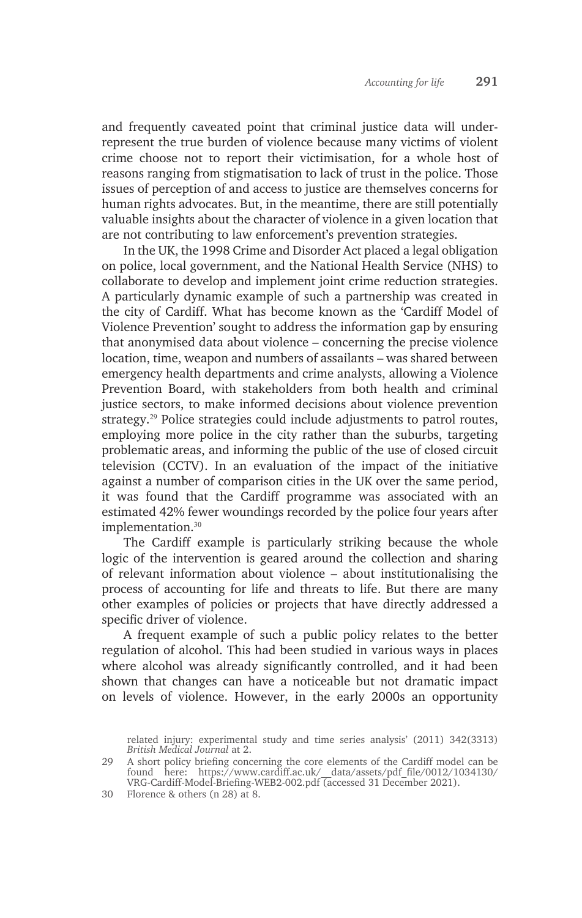and frequently caveated point that criminal justice data will underrepresent the true burden of violence because many victims of violent crime choose not to report their victimisation, for a whole host of reasons ranging from stigmatisation to lack of trust in the police. Those issues of perception of and access to justice are themselves concerns for human rights advocates. But, in the meantime, there are still potentially valuable insights about the character of violence in a given location that are not contributing to law enforcement's prevention strategies.

In the UK, the 1998 Crime and Disorder Act placed a legal obligation on police, local government, and the National Health Service (NHS) to collaborate to develop and implement joint crime reduction strategies. A particularly dynamic example of such a partnership was created in the city of Cardiff. What has become known as the 'Cardiff Model of Violence Prevention' sought to address the information gap by ensuring that anonymised data about violence – concerning the precise violence location, time, weapon and numbers of assailants – was shared between emergency health departments and crime analysts, allowing a Violence Prevention Board, with stakeholders from both health and criminal justice sectors, to make informed decisions about violence prevention strategy.29 Police strategies could include adjustments to patrol routes, employing more police in the city rather than the suburbs, targeting problematic areas, and informing the public of the use of closed circuit television (CCTV). In an evaluation of the impact of the initiative against a number of comparison cities in the UK over the same period, it was found that the Cardiff programme was associated with an estimated 42% fewer woundings recorded by the police four years after implementation.<sup>30</sup>

The Cardiff example is particularly striking because the whole logic of the intervention is geared around the collection and sharing of relevant information about violence – about institutionalising the process of accounting for life and threats to life. But there are many other examples of policies or projects that have directly addressed a specific driver of violence.

A frequent example of such a public policy relates to the better regulation of alcohol. This had been studied in various ways in places where alcohol was already significantly controlled, and it had been shown that changes can have a noticeable but not dramatic impact on levels of violence. However, in the early 2000s an opportunity

related injury: experimental study and time series analysis' (2011) 342(3313) *British Medical Journal* at 2.

<sup>29</sup> A short policy briefing concerning the core elements of the Cardiff model can be found here: https://www.cardiff.ac.uk/\_\_data/assets/pdf\_file/0012/1034130/ VRG-Cardiff-Model-Briefing-WEB2-002.pdf (accessed 31 December 2021).

<sup>30</sup> Florence & others (n 28) at 8.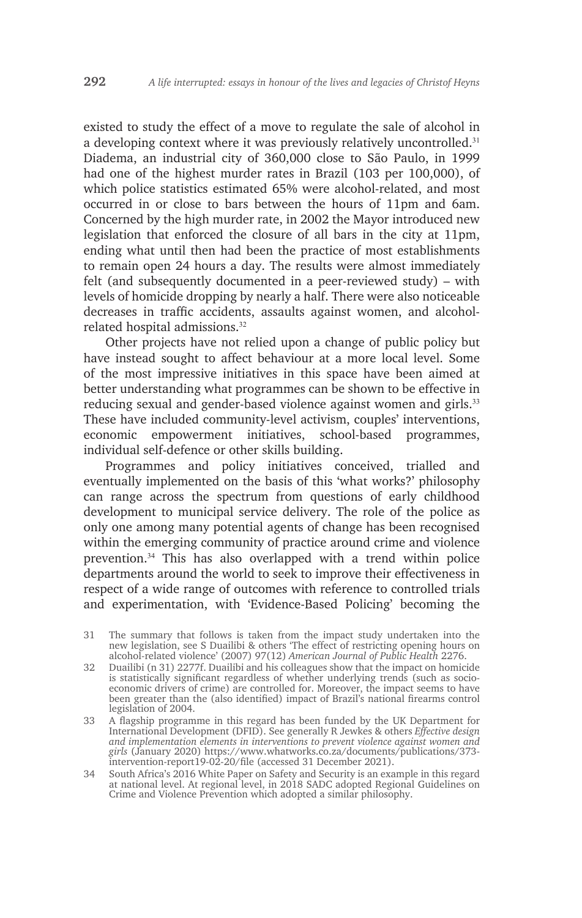existed to study the effect of a move to regulate the sale of alcohol in a developing context where it was previously relatively uncontrolled.<sup>31</sup> Diadema, an industrial city of 360,000 close to São Paulo, in 1999 had one of the highest murder rates in Brazil (103 per 100,000), of which police statistics estimated 65% were alcohol-related, and most occurred in or close to bars between the hours of 11pm and 6am. Concerned by the high murder rate, in 2002 the Mayor introduced new legislation that enforced the closure of all bars in the city at 11pm, ending what until then had been the practice of most establishments to remain open 24 hours a day. The results were almost immediately felt (and subsequently documented in a peer-reviewed study) – with levels of homicide dropping by nearly a half. There were also noticeable decreases in traffic accidents, assaults against women, and alcoholrelated hospital admissions.<sup>32</sup>

Other projects have not relied upon a change of public policy but have instead sought to affect behaviour at a more local level. Some of the most impressive initiatives in this space have been aimed at better understanding what programmes can be shown to be effective in reducing sexual and gender-based violence against women and girls.<sup>33</sup> These have included community-level activism, couples' interventions, economic empowerment initiatives, school-based programmes, individual self-defence or other skills building.

Programmes and policy initiatives conceived, trialled and eventually implemented on the basis of this 'what works?' philosophy can range across the spectrum from questions of early childhood development to municipal service delivery. The role of the police as only one among many potential agents of change has been recognised within the emerging community of practice around crime and violence prevention.34 This has also overlapped with a trend within police departments around the world to seek to improve their effectiveness in respect of a wide range of outcomes with reference to controlled trials and experimentation, with 'Evidence-Based Policing' becoming the

<sup>31</sup> The summary that follows is taken from the impact study undertaken into the new legislation, see S Duailibi & others 'The effect of restricting opening hours on alcohol-related violence' (2007) 97(12) *American Journal of Public Health* 2276.

<sup>32</sup> Duailibi (n 31) 2277f. Duailibi and his colleagues show that the impact on homicide is statistically significant regardless of whether underlying trends (such as socioeconomic drivers of crime) are controlled for. Moreover, the impact seems to have been greater than the (also identified) impact of Brazil's national firearms control legislation of 2004.

<sup>33</sup> A flagship programme in this regard has been funded by the UK Department for International Development (DFID). See generally R Jewkes & others *Effective design and implementation elements in interventions to prevent violence against women and girls* (January 2020) https://www.whatworks.co.za/documents/publications/373 intervention-report19-02-20/file (accessed 31 December 2021).

<sup>34</sup> South Africa's 2016 White Paper on Safety and Security is an example in this regard at national level. At regional level, in 2018 SADC adopted Regional Guidelines on Crime and Violence Prevention which adopted a similar philosophy.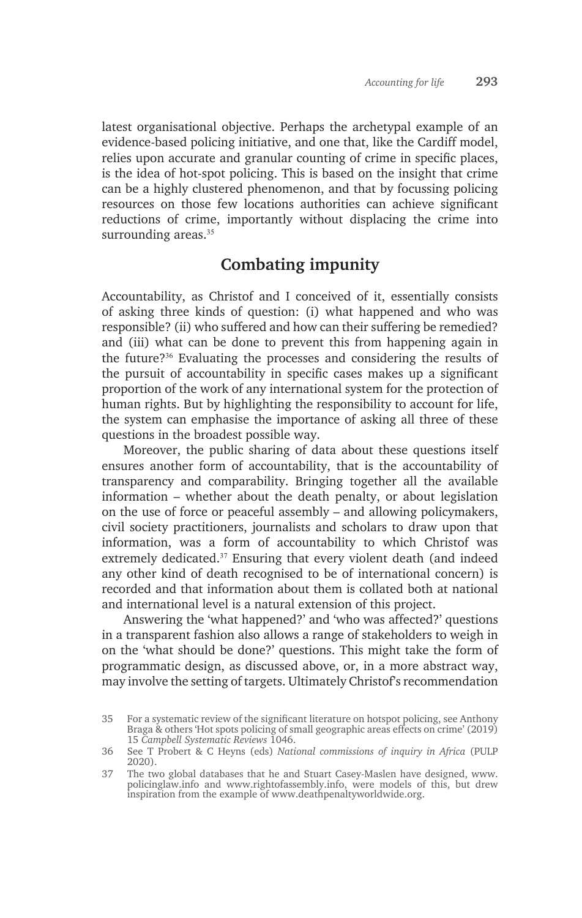latest organisational objective. Perhaps the archetypal example of an evidence-based policing initiative, and one that, like the Cardiff model, relies upon accurate and granular counting of crime in specific places, is the idea of hot-spot policing. This is based on the insight that crime can be a highly clustered phenomenon, and that by focussing policing resources on those few locations authorities can achieve significant reductions of crime, importantly without displacing the crime into surrounding areas.<sup>35</sup>

### **Combating impunity**

Accountability, as Christof and I conceived of it, essentially consists of asking three kinds of question: (i) what happened and who was responsible? (ii) who suffered and how can their suffering be remedied? and (iii) what can be done to prevent this from happening again in the future?36 Evaluating the processes and considering the results of the pursuit of accountability in specific cases makes up a significant proportion of the work of any international system for the protection of human rights. But by highlighting the responsibility to account for life, the system can emphasise the importance of asking all three of these questions in the broadest possible way.

Moreover, the public sharing of data about these questions itself ensures another form of accountability, that is the accountability of transparency and comparability. Bringing together all the available information – whether about the death penalty, or about legislation on the use of force or peaceful assembly – and allowing policymakers, civil society practitioners, journalists and scholars to draw upon that information, was a form of accountability to which Christof was extremely dedicated.<sup>37</sup> Ensuring that every violent death (and indeed any other kind of death recognised to be of international concern) is recorded and that information about them is collated both at national and international level is a natural extension of this project.

Answering the 'what happened?' and 'who was affected?' questions in a transparent fashion also allows a range of stakeholders to weigh in on the 'what should be done?' questions. This might take the form of programmatic design, as discussed above, or, in a more abstract way, may involve the setting of targets. Ultimately Christof's recommendation

<sup>35</sup> For a systematic review of the significant literature on hotspot policing, see Anthony Braga & others 'Hot spots policing of small geographic areas effects on crime' (2019) 15 *Campbell Systematic Reviews* 1046.

<sup>36</sup> See T Probert & C Heyns (eds) *National commissions of inquiry in Africa* (PULP 2020).

<sup>37</sup> The two global databases that he and Stuart Casey-Maslen have designed, www. policinglaw.info and www.rightofassembly.info, were models of this, but drew inspiration from the example of www.deathpenaltyworldwide.org.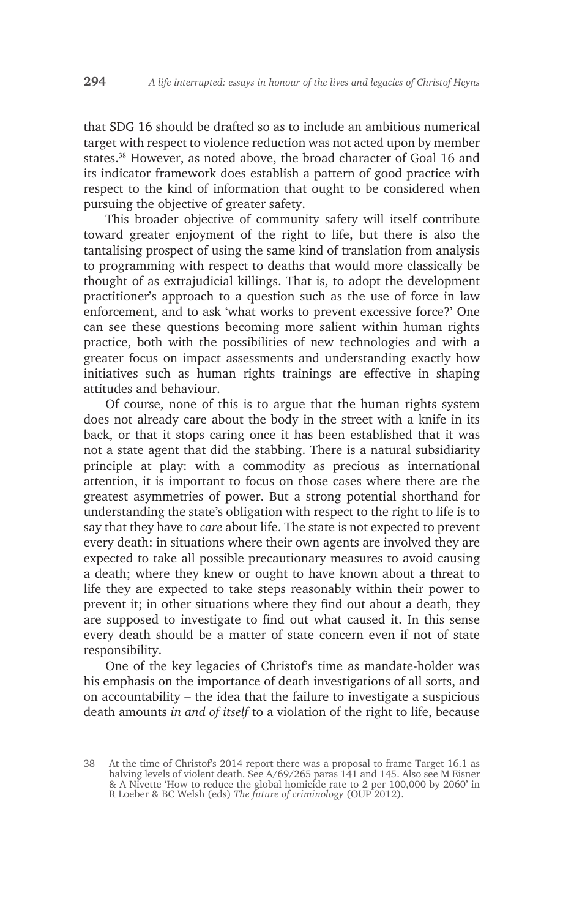that SDG 16 should be drafted so as to include an ambitious numerical target with respect to violence reduction was not acted upon by member states.<sup>38</sup> However, as noted above, the broad character of Goal 16 and its indicator framework does establish a pattern of good practice with respect to the kind of information that ought to be considered when pursuing the objective of greater safety.

This broader objective of community safety will itself contribute toward greater enjoyment of the right to life, but there is also the tantalising prospect of using the same kind of translation from analysis to programming with respect to deaths that would more classically be thought of as extrajudicial killings. That is, to adopt the development practitioner's approach to a question such as the use of force in law enforcement, and to ask 'what works to prevent excessive force?' One can see these questions becoming more salient within human rights practice, both with the possibilities of new technologies and with a greater focus on impact assessments and understanding exactly how initiatives such as human rights trainings are effective in shaping attitudes and behaviour.

Of course, none of this is to argue that the human rights system does not already care about the body in the street with a knife in its back, or that it stops caring once it has been established that it was not a state agent that did the stabbing. There is a natural subsidiarity principle at play: with a commodity as precious as international attention, it is important to focus on those cases where there are the greatest asymmetries of power. But a strong potential shorthand for understanding the state's obligation with respect to the right to life is to say that they have to *care* about life. The state is not expected to prevent every death: in situations where their own agents are involved they are expected to take all possible precautionary measures to avoid causing a death; where they knew or ought to have known about a threat to life they are expected to take steps reasonably within their power to prevent it; in other situations where they find out about a death, they are supposed to investigate to find out what caused it. In this sense every death should be a matter of state concern even if not of state responsibility.

One of the key legacies of Christof's time as mandate-holder was his emphasis on the importance of death investigations of all sorts, and on accountability – the idea that the failure to investigate a suspicious death amounts *in and of itself* to a violation of the right to life, because

<sup>38</sup> At the time of Christof's 2014 report there was a proposal to frame Target 16.1 as halving levels of violent death. See A/69/265 paras 141 and 145. Also see M Eisner & A Nivette 'How to reduce the global homicide rate to 2 per 100,000 by 2060' in R Loeber & BC Welsh (eds) *The future of criminology* (OUP 2012).